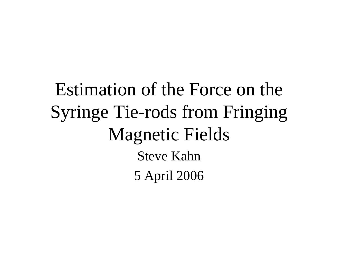Estimation of the Force on the Syringe Tie-rods from Fringing Magnetic Fields Steve Kahn5 April 2006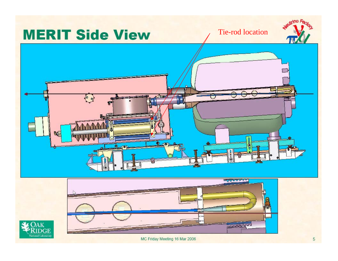# **MERIT Side View**

Tie-rod location







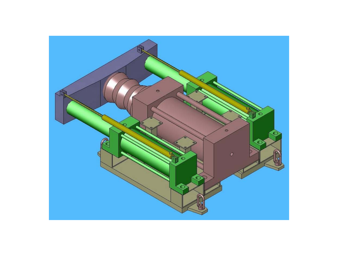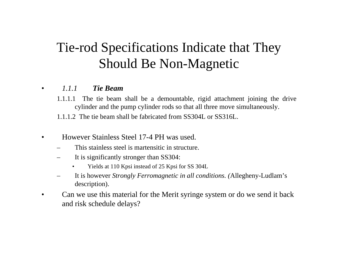# Tie-rod Specifications Indicate that They Should Be Non-Magnetic

### • *1.1.1Tie Beam*

1.1.1.1 The tie beam shall be a demountable, rigid attachment joining the drive cylinder and the pump cylinder rods so that all three move simultaneously.

1.1.1.2 The tie beam shall be fabricated from SS304L or SS316L.

- • However Stainless Steel 17-4 PH was used.
	- This stainless steel is martensitic in structure.
	- It is significantly stronger than SS304:
		- •Yields at 110 Kpsi instead of 25 Kpsi for SS 304L
	- It is however *Strongly Ferromagnetic in all conditions. (*Allegheny-Ludlam's description).
- • Can we use this material for the Merit syringe system or do we send it back and risk schedule delays?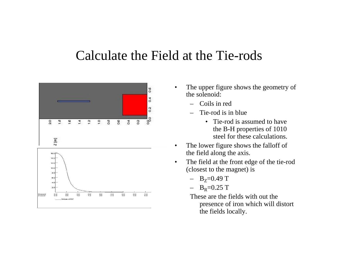### Calculate the Field at the Tie-rods



- • The upper figure shows the geometry of the solenoid:
	- Coils in red
	- Tie-rod is in blue
		- Tie-rod is assumed to have the B-H properties of 1010 steel for these calculations.
- • The lower figure shows the falloff of the field along the axis.
- • The field at the front edge of the tie-rod (closest to the magnet) is
	- $-$  B<sub>Z</sub>=0.49 T
	- $B_R = 0.25$  T
	- These are the fields with out the presence of iron which will distort the fields locally.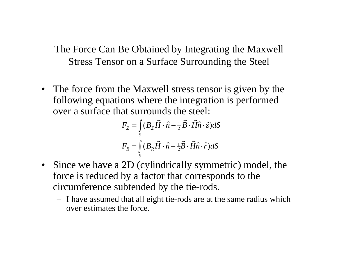The Force Can Be Obtained by Integrating the Maxwell Stress Tensor on a Surface Surrounding the Steel

• The force from the Maxwell stress tensor is given by the following equations where the integration is performed over a surface that surrounds the steel:

$$
F_Z = \int_S (B_Z \vec{H} \cdot \hat{n} - \frac{1}{2} \vec{B} \cdot \vec{H} \hat{n} \cdot \hat{z}) dS
$$
  

$$
F_R = \int_S (B_R \vec{H} \cdot \hat{n} - \frac{1}{2} \vec{B} \cdot \vec{H} \hat{n} \cdot \hat{r}) dS
$$

- Since we have a 2D (cylindrically symmetric) model, the force is reduced by a factor that corresponds to the circumference subtended by the tie-rods.
	- I have assumed that all eight tie-rods are at the same radius which over estimates the force.